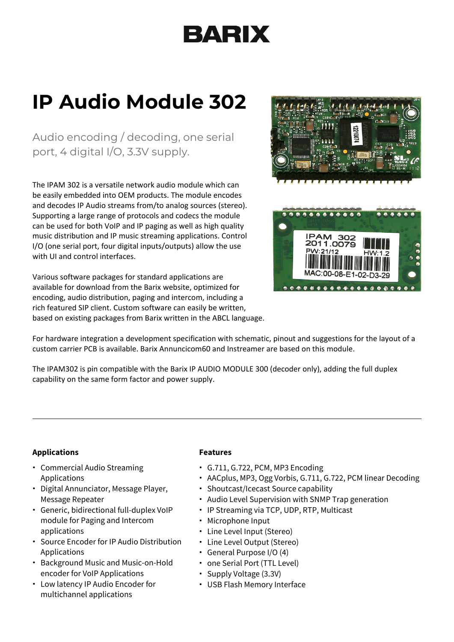# BARIX

## **IP Audio Module 302**

Audio encoding / decoding, one serial port, 4 digital I/O, 3.3V supply.

The IPAM 302 is a versatile network audio module which can be easily embedded into OEM products. The module encodes and decodes IP Audio streams from/to analog sources (stereo). Supporting a large range of protocols and codecs the module can be used for both VoIP and IP paging as well as high quality music distribution and IP music streaming applications. Control I/O (one serial port, four digital inputs/outputs) allow the use with UI and control interfaces.

Various software packages for standard applications are available for download from the Barix website, optimized for encoding, audio distribution, paging and intercom, including a rich featured SIP client. Custom software can easily be written, based on existing packages from Barix written in the ABCL language.



For hardware integration a development specification with schematic, pinout and suggestions for the layout of a custom carrier PCB is available. Barix Annuncicom60 and Instreamer are based on this module.

The IPAM302 is pin compatible with the Barix IP AUDIO MODULE 300 (decoder only), adding the full duplex capability on the same form factor and power supply.

### **Applications**

- Commercial Audio Streaming Applications
- Digital Annunciator, Message Player, Message Repeater
- Generic, bidirectional full-duplex VoIP module for Paging and Intercom applications
- Source Encoder for IP Audio Distribution Applications
- Background Music and Music-on-Hold encoder for VoIP Applications
- Low latency IP Audio Encoder for multichannel applications

#### **Features**

- G.711, G.722, PCM, MP3 Encoding
- AACplus, MP3, Ogg Vorbis, G.711, G.722, PCM linear Decoding
- Shoutcast/Icecast Source capability
- Audio Level Supervision with SNMP Trap generation
- IP Streaming via TCP, UDP, RTP, Multicast
- Microphone Input
- Line Level Input (Stereo)
- Line Level Output (Stereo)
- General Purpose I/O (4)
- one Serial Port (TTL Level)
- Supply Voltage (3.3V)
- USB Flash Memory Interface